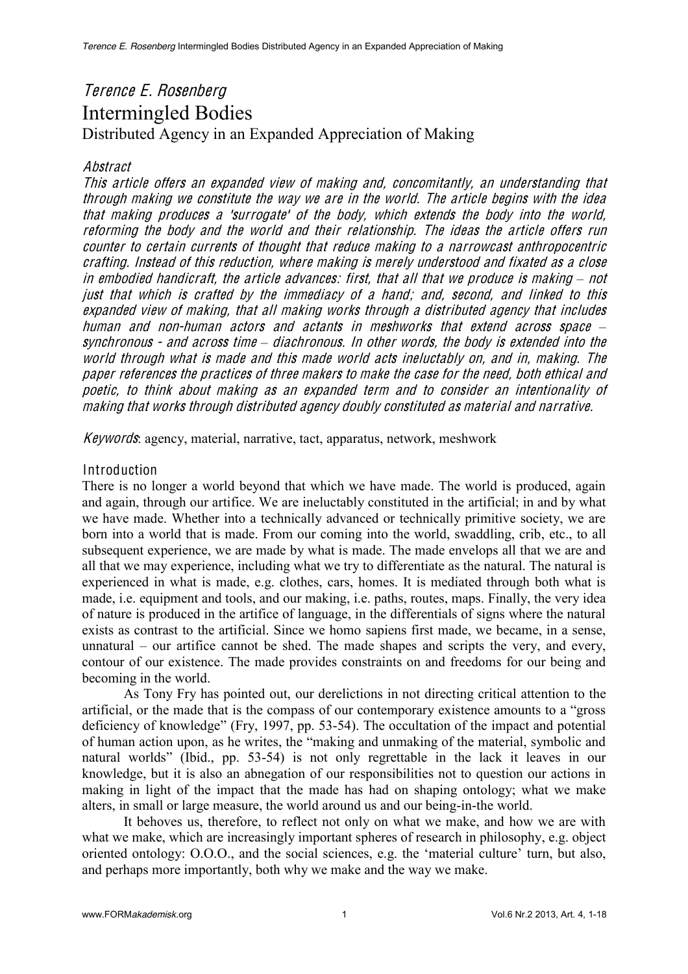# Terence E. Rosenberg Intermingled Bodies Distributed Agency in an Expanded Appreciation of Making

## Abstract

Thi<sup>s</sup> articl<sup>e</sup> <sup>o</sup>ffer<sup>s</sup> an <sup>e</sup>xpanded vie<sup>w</sup> <sup>o</sup>f making and, <sup>c</sup>oncomitantly, an understanding that through making <sup>w</sup><sup>e</sup> <sup>c</sup>onstitut<sup>e</sup> th<sup>e</sup> way <sup>w</sup><sup>e</sup> ar<sup>e</sup> in th<sup>e</sup> world. Th<sup>e</sup> articl<sup>e</sup> begin<sup>s</sup> with th<sup>e</sup> ide<sup>a</sup> that making produce<sup>s</sup> <sup>a</sup> 'surrogate' <sup>o</sup>f th<sup>e</sup> body, which <sup>e</sup>xtend<sup>s</sup> th<sup>e</sup> body int<sup>o</sup> th<sup>e</sup> world, <sup>r</sup>eforming th<sup>e</sup> body and th<sup>e</sup> world and their <sup>r</sup>elationship. Th<sup>e</sup> idea<sup>s</sup> th<sup>e</sup> articl<sup>e</sup> <sup>o</sup>ffer<sup>s</sup> run <sup>c</sup>ounte<sup>r</sup> t<sup>o</sup> certain <sup>c</sup>urrents <sup>o</sup>f thought that <sup>r</sup>educe making t<sup>o</sup> <sup>a</sup> narrowcast anthropocentri<sup>c</sup> <sup>c</sup>rafting. Instead <sup>o</sup>f thi<sup>s</sup> <sup>r</sup>eduction, wher<sup>e</sup> making i<sup>s</sup> <sup>m</sup>er<sup>e</sup>ly understood and fixated <sup>a</sup><sup>s</sup> <sup>a</sup> <sup>c</sup>los<sup>e</sup> in embodied handicraft, the article advances: first, that all that we produce is making – not just that which i<sup>s</sup> <sup>c</sup>rafted by th<sup>e</sup> immediacy <sup>o</sup>f <sup>a</sup> hand; and, <sup>s</sup>econd, and linked t<sup>o</sup> thi<sup>s</sup> <sup>e</sup>xpanded vie<sup>w</sup> <sup>o</sup>f making, that all making work<sup>s</sup> through <sup>a</sup> distributed agency that include<sup>s</sup> human and non-human actors and actants in meshworks that extend across space  $$ synchronous - and across time – diachronous. In other words, the body is extended into the world through what i<sup>s</sup> mad<sup>e</sup> and thi<sup>s</sup> mad<sup>e</sup> world <sup>a</sup>cts ineluctably on, and in, making. Th<sup>e</sup> pape<sup>r</sup> <sup>r</sup>eference<sup>s</sup> th<sup>e</sup> practice<sup>s</sup> <sup>o</sup>f three maker<sup>s</sup> t<sup>o</sup> make th<sup>e</sup> <sup>c</sup>as<sup>e</sup> for th<sup>e</sup> <sup>n</sup>eed, both <sup>e</sup>thical and poetic, t<sup>o</sup> think about making <sup>a</sup><sup>s</sup> an <sup>e</sup>xpanded term and t<sup>o</sup> <sup>c</sup>onside<sup>r</sup> an intentionality <sup>o</sup>f making that work<sup>s</sup> through distributed agency doubly <sup>c</sup>onstituted <sup>a</sup><sup>s</sup> material and narrative.

Keywords: agency, material, narrative, tact, apparatus, network, meshwork

### Introduction

There is no longer a world beyond that which we have made. The world is produced, again and again, through our artifice. We are ineluctably constituted in the artificial; in and by what we have made. Whether into a technically advanced or technically primitive society, we are born into a world that is made. From our coming into the world, swaddling, crib, etc., to all subsequent experience, we are made by what is made. The made envelops all that we are and all that we may experience, including what we try to differentiate as the natural. The natural is experienced in what is made, e.g. clothes, cars, homes. It is mediated through both what is made, i.e. equipment and tools, and our making, i.e. paths, routes, maps. Finally, the very idea of nature is produced in the artifice of language, in the differentials of signs where the natural exists as contrast to the artificial. Since we homo sapiens first made, we became, in a sense, unnatural  $\sim$  our artifice cannot be shed. The made shapes and scripts the very, and every, contour of our existence. The made provides constraints on and freedoms for our being and becoming in the world.

As Tony Fry has pointed out, our derelictions in not directing critical attention to the artificial, or the made that is the compass of our contemporary existence amounts to a "gross" deficiency of knowledge" (Fry, 1997, pp. 53-54). The occultation of the impact and potential of human action upon, as he writes, the "making and unmaking of the material, symbolic and natural worlds" (Ibid., pp. 53-54) is not only regrettable in the lack it leaves in our knowledge, but it is also an abnegation of our responsibilities not to question our actions in making in light of the impact that the made has had on shaping ontology; what we make alters, in small or large measure, the world around us and our being-in-the world.

It behoves us, therefore, to reflect not only on what we make, and how we are with what we make, which are increasingly important spheres of research in philosophy, e.g. object oriented ontology:  $0.0.0$ ., and the social sciences, e.g. the 'material culture' turn, but also, and perhaps more importantly, both why we make and the way we make.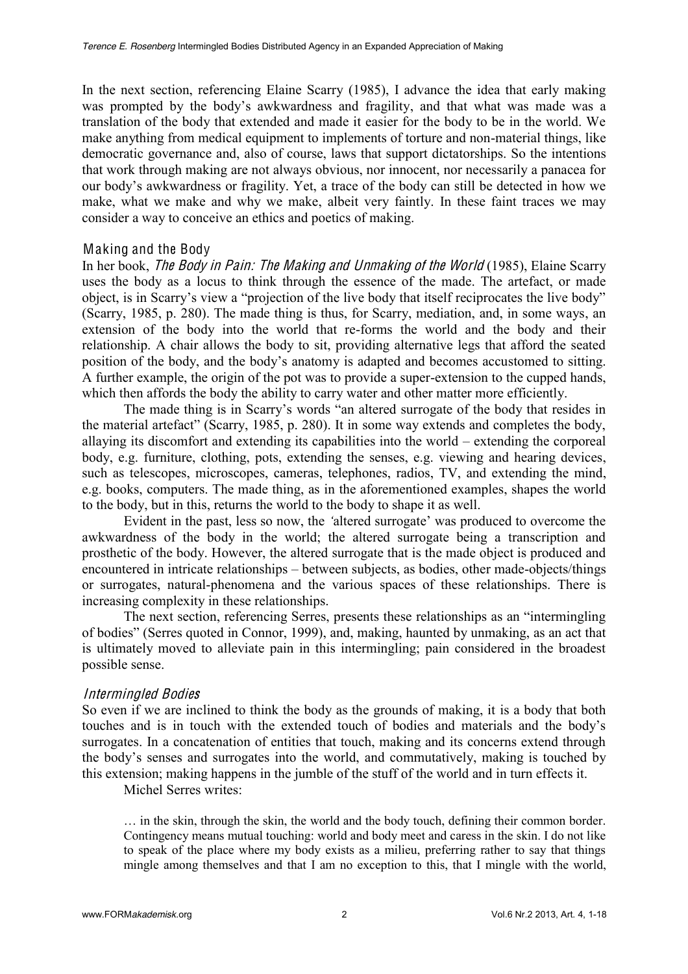In the next section, referencing Elaine Scarry (1985), I advance the idea that early making was prompted by the body's awkwardness and fragility, and that what was made was a translation of the body that extended and made it easier for the body to be in the world. We make anything from medical equipment to implements of torture and non-material things, like democratic governance and, also of course, laws that support dictatorships. So the intentions that work through making are not always obvious, nor innocent, nor necessarily a panacea for our body's awkwardness or fragility. Yet, a trace of the body can still be detected in how we make, what we make and why we make, albeit very faintly. In these faint traces we may consider a way to conceive an ethics and poetics of making.

#### Making and the Body

In her book, Th<sup>e</sup> Body in Pain: Th<sup>e</sup> Making and Unmaking <sup>o</sup>f <sup>t</sup>h<sup>e</sup> World (1985), Elaine Scarry uses the body as a locus to think through the essence of the made. The artefact, or made object, is in Scarry's view a "projection of the live body that itself reciprocates the live body" (Scarry, 1985, p. 280). The made thing is thus, for Scarry, mediation, and, in some ways, an extension of the body into the world that re-forms the world and the body and their relationship. A chair allows the body to sit, providing alternative legs that afford the seated position of the body, and the body's anatomy is adapted and becomes accustomed to sitting. A further example, the origin of the pot was to provide a super-extension to the cupped hands, which then affords the body the ability to carry water and other matter more efficiently.

The made thing is in Scarry's words "an altered surrogate of the body that resides in the material artefact" (Scarry, 1985, p. 280). It in some way extends and completes the body, allaying its discomfort and extending its capabilities into the world - extending the corporeal body, e.g. furniture, clothing, pots, extending the senses, e.g. viewing and hearing devices, such as telescopes, microscopes, cameras, telephones, radios, TV, and extending the mind, e.g. books, computers. The made thing, as in the aforementioned examples, shapes the world to the body, but in this, returns the world to the body to shape it as well.

Evident in the past, less so now, the 'altered surrogate' was produced to overcome the awkwardness of the body in the world; the altered surrogate being a transcription and prosthetic of the body. However, the altered surrogate that is the made object is produced and encountered in intricate relationships – between subjects, as bodies, other made-objects/things or surrogates, natural-phenomena and the various spaces of these relationships. There is increasing complexity in these relationships.

The next section, referencing Serres, presents these relationships as an "intermingling" of bodies" (Serres quoted in Connor, 1999), and, making, haunted by unmaking, as an act that is ultimately moved to alleviate pain in this intermingling; pain considered in the broadest possible sense.

#### Intermingled Bodie<sup>s</sup>

So even if we are inclined to think the body as the grounds of making, it is a body that both touches and is in touch with the extended touch of bodies and materials and the body's surrogates. In a concatenation of entities that touch, making and its concerns extend through the body's senses and surrogates into the world, and commutatively, making is touched by this extension; making happens in the jumble of the stuff of the world and in turn effects it.

Michel Serres writes:

 $\ldots$  in the skin, through the skin, the world and the body touch, defining their common border. Contingency means mutual touching: world and body meet and caress in the skin. I do not like to speak of the place where my body exists as a milieu, preferring rather to say that things mingle among themselves and that I am no exception to this, that I mingle with the world,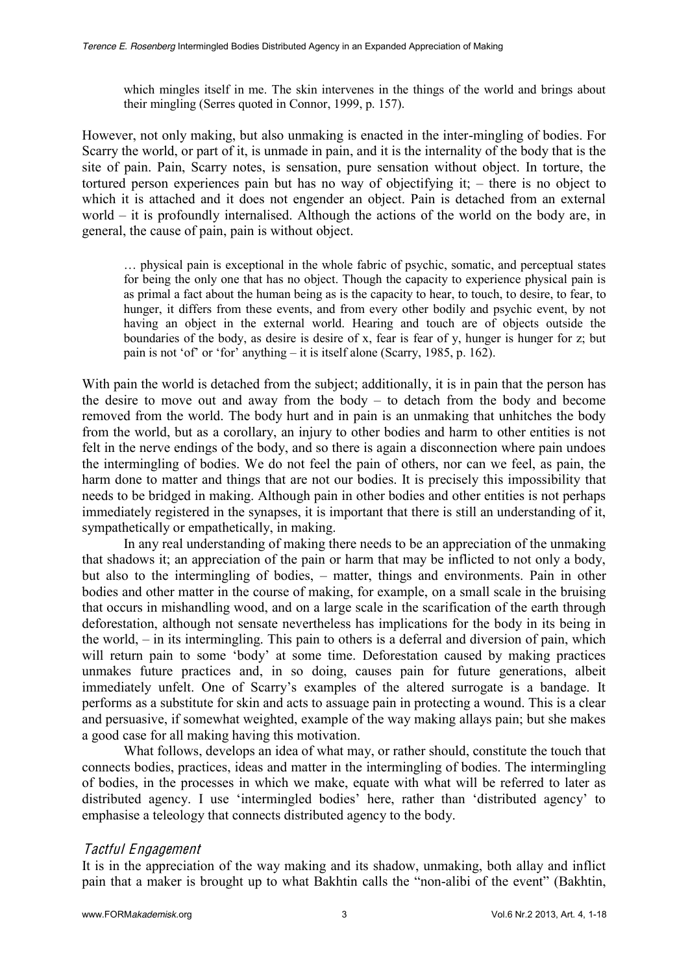which mingles itself in me. The skin intervenes in the things of the world and brings about their mingling (Serres quoted in Connor, 1999, p. 157).

However, not only making, but also unmaking is enacted in the inter-mingling of bodies. For Scarry the world, or part of it, is unmade in pain, and it is the internality of the body that is the site of pain. Pain, Scarry notes, is sensation, pure sensation without object. In torture, the tortured person experiences pain but has no way of objectifying it;  $-$  there is no object to which it is attached and it does not engender an object. Pain is detached from an external world  $-$  it is profoundly internalised. Although the actions of the world on the body are, in general, the cause of pain, pain is without object.

... physical pain is exceptional in the whole fabric of psychic, somatic, and perceptual states for being the only one that has no object. Though the capacity to experience physical pain is as primal a fact about the human being as is the capacity to hear, to touch, to desire, to fear, to hunger, it differs from these events, and from every other bodily and psychic event, by not having an object in the external world. Hearing and touch are of objects outside the boundaries of the body, as desire is desire of x, fear is fear of y, hunger is hunger for z; but pain is not 'of' or 'for' anything  $-$  it is itself alone (Scarry, 1985, p. 162).

With pain the world is detached from the subject; additionally, it is in pain that the person has the desire to move out and away from the body  $-$  to detach from the body and become removed from the world. The body hurt and in pain is an unmaking that unhitches the body from the world, but as a corollary, an injury to other bodies and harm to other entities is not felt in the nerve endings of the body, and so there is again a disconnection where pain undoes the intermingling of bodies. We do not feel the pain of others, nor can we feel, as pain, the harm done to matter and things that are not our bodies. It is precisely this impossibility that needs to be bridged in making. Although pain in other bodies and other entities is not perhaps immediately registered in the synapses, it is important that there is still an understanding of it, sympathetically or empathetically, in making.

In any real understanding of making there needs to be an appreciation of the unmaking that shadows it; an appreciation of the pain or harm that may be inflicted to not only a body, but also to the intermingling of bodies,  $-$  matter, things and environments. Pain in other bodies and other matter in the course of making, for example, on a small scale in the bruising that occurs in mishandling wood, and on a large scale in the scarification of the earth through deforestation, although not sensate nevertheless has implications for the body in its being in the world,  $-\text{ in its intermingling.}$  This pain to others is a deferral and diversion of pain, which will return pain to some 'body' at some time. Deforestation caused by making practices unmakes future practices and, in so doing, causes pain for future generations, albeit immediately unfelt. One of Scarry's examples of the altered surrogate is a bandage. It performs as a substitute for skin and acts to assuage pain in protecting a wound. This is a clear and persuasive, if somewhat weighted, example of the way making allays pain; but she makes a good case for all making having this motivation.

What follows, develops an idea of what may, or rather should, constitute the touch that connects bodies, practices, ideas and matter in the intermingling of bodies. The intermingling of bodies, in the processes in which we make, equate with what will be referred to later as distributed agency. I use 'intermingled bodies' here, rather than 'distributed agency' to emphasise a teleology that connects distributed agency to the body.

# Tactful Engag<sup>e</sup>ment

It is in the appreciation of the way making and its shadow, unmaking, both allay and inflict pain that a maker is brought up to what Bakhtin calls the "non-alibi of the event" (Bakhtin,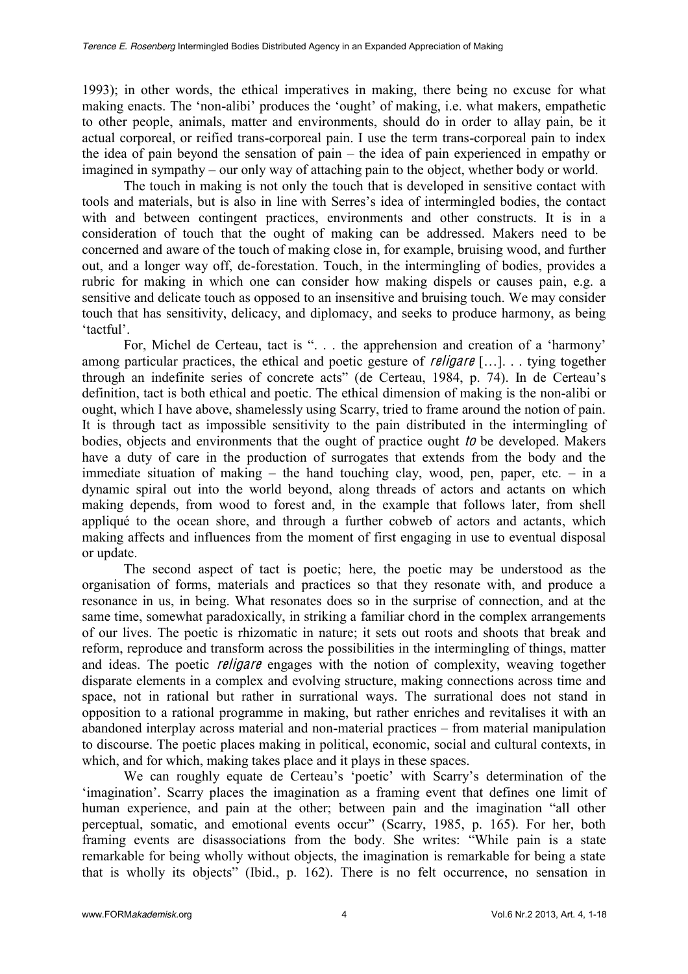1993); in other words, the ethical imperatives in making, there being no excuse for what making enacts. The 'non-alibi' produces the 'ought' of making, i.e. what makers, empathetic to other people, animals, matter and environments, should do in order to allay pain, be it actual corporeal, or reified trans-corporeal pain. I use the term trans-corporeal pain to index the idea of pain beyond the sensation of pain  $-$  the idea of pain experienced in empathy or imagined in sympathy – our only way of attaching pain to the object, whether body or world.

The touch in making is not only the touch that is developed in sensitive contact with tools and materials, but is also in line with Serres's idea of intermingled bodies, the contact with and between contingent practices, environments and other constructs. It is in a consideration of touch that the ought of making can be addressed. Makers need to be concerned and aware of the touch of making close in, for example, bruising wood, and further out, and a longer way off, de-forestation. Touch, in the intermingling of bodies, provides a rubric for making in which one can consider how making dispels or causes pain, e.g. a sensitive and delicate touch as opposed to an insensitive and bruising touch. We may consider touch that has sensitivity, delicacy, and diplomacy, and seeks to produce harmony, as being 'tactful'.

For, Michel de Certeau, tact is ". . . the apprehension and creation of a 'harmony' among particular practices, the ethical and poetic gesture of *religare*  $[\,\ldots\,]$ ..., tying together through an indefinite series of concrete acts" (de Certeau, 1984, p. 74). In de Certeau's definition, tact is both ethical and poetic. The ethical dimension of making is the non-alibi or ought, which I have above, shamelessly using Scarry, tried to frame around the notion of pain. It is through tact as impossible sensitivity to the pain distributed in the intermingling of bodies, objects and environments that the ought of practice ought to be developed. Makers have a duty of care in the production of surrogates that extends from the body and the immediate situation of making  $-$  the hand touching clay, wood, pen, paper, etc.  $-$  in a dynamic spiral out into the world beyond, along threads of actors and actants on which making depends, from wood to forest and, in the example that follows later, from shell appliqué to the ocean shore, and through a further cobweb of actors and actants, which making affects and influences from the moment of first engaging in use to eventual disposal or update.

The second aspect of tact is poetic; here, the poetic may be understood as the organisation of forms, materials and practices so that they resonate with, and produce a resonance in us, in being. What resonates does so in the surprise of connection, and at the same time, somewhat paradoxically, in striking a familiar chord in the complex arrangements of our lives. The poetic is rhizomatic in nature; it sets out roots and shoots that break and reform, reproduce and transform across the possibilities in the intermingling of things, matter and ideas. The poetic *religare* engages with the notion of complexity, weaving together disparate elements in a complex and evolving structure, making connections across time and space, not in rational but rather in surrational ways. The surrational does not stand in opposition to a rational programme in making, but rather enriches and revitalises it with an abandoned interplay across material and non-material practices – from material manipulation to discourse. The poetic places making in political, economic, social and cultural contexts, in which, and for which, making takes place and it plays in these spaces.

We can roughly equate de Certeau's 'poetic' with Scarry's determination of the 'imagination'. Scarry places the imagination as a framing event that defines one limit of human experience, and pain at the other; between pain and the imagination "all other perceptual, somatic, and emotional events occur" (Scarry, 1985, p. 165). For her, both framing events are disassociations from the body. She writes: "While pain is a state remarkable for being wholly without objects, the imagination is remarkable for being a state that is wholly its objects" (Ibid., p. 162). There is no felt occurrence, no sensation in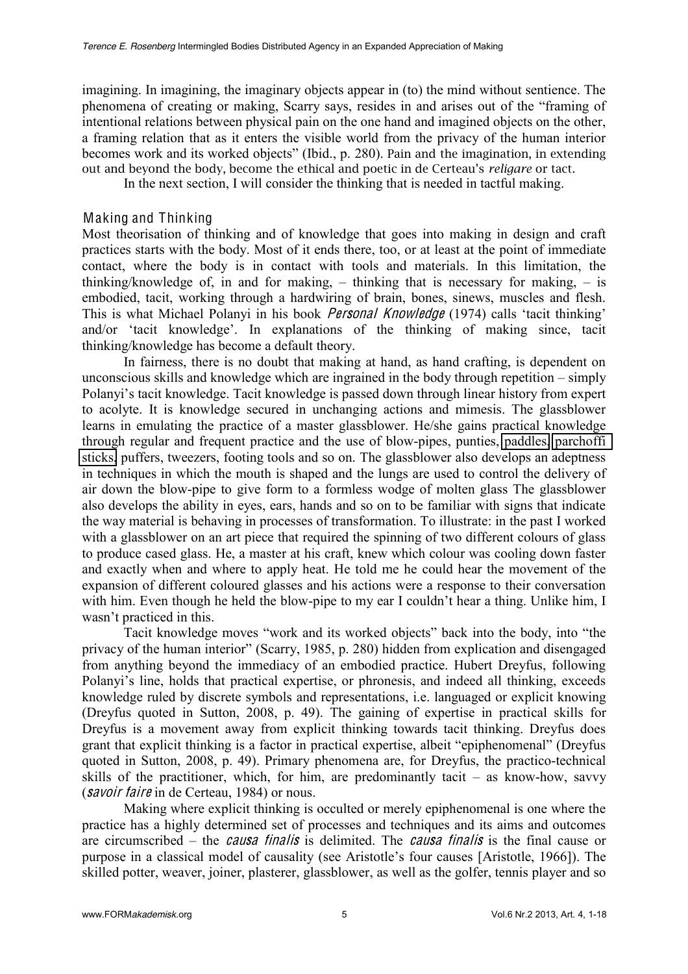imagining. In imagining, the imaginary objects appear in (to) the mind without sentience. The phenomena of creating or making, Scarry says, resides in and arises out of the "framing of intentional relations between physical pain on the one hand and imagined objects on the other, a framing relation that as it enters the visible world from the privacy of the human interior becomes work and its worked objects" (Ibid., p. 280). Pain and the imagination, in extending out and beyond the body, become the ethical and poetic in de Certeau's *religare* or tact.

In the next section, I will consider the thinking that is needed in tactful making.

### Making and Thinking

Most theorisation of thinking and of knowledge that goes into making in design and craft practices starts with the body. Most of it ends there, too, or at least at the point of immediate contact, where the body is in contact with tools and materials. In this limitation, the thinking/knowledge of, in and for making,  $-$  thinking that is necessary for making,  $-$  is embodied, tacit, working through a hardwiring of brain, bones, sinews, muscles and flesh. This is what Michael Polanyi in his book *Personal Knowledge* (1974) calls 'tacit thinking' and/or 'tacit knowledge'. In explanations of the thinking of making since, tacit thinking/knowledge has become a default theory.

In fairness, there is no doubt that making at hand, as hand crafting, is dependent on unconscious skills and knowledge which are ingrained in the body through repetition  $-\sin p y$ Polanyi's tacit knowledge. Tacit knowledge is passed down through linear history from expert to acolyte. It is knowledge secured in unchanging actions and mimesis. The glassblower learns in emulating the practice of a master glassblower. He/she gains practical knowledge through regular and frequent practice and the use of blow-pipes, punties, [paddles,](http://www.glasscolor.com/tools/blockhead_paddles.aspx) [parchoffi](http://www.glasscolor.com/tools/blockhead_parchoffi_sticks.aspx)  [sticks,](http://www.glasscolor.com/tools/blockhead_parchoffi_sticks.aspx) puffers, tweezers, footing tools and so on. The glassblower also develops an adeptness in techniques in which the mouth is shaped and the lungs are used to control the delivery of air down the blow-pipe to give form to a formless wodge of molten glass The glassblower also develops the ability in eyes, ears, hands and so on to be familiar with signs that indicate the way material is behaving in processes of transformation. To illustrate: in the past I worked with a glassblower on an art piece that required the spinning of two different colours of glass to produce cased glass. He, a master at his craft, knew which colour was cooling down faster and exactly when and where to apply heat. He told me he could hear the movement of the expansion of different coloured glasses and his actions were a response to their conversation with him. Even though he held the blow-pipe to my ear I couldn't hear a thing. Unlike him, I wasn't practiced in this.

Tacit knowledge moves "work and its worked objects" back into the body, into "the privacy of the human interior" (Scarry, 1985, p. 280) hidden from explication and disengaged from anything beyond the immediacy of an embodied practice. Hubert Dreyfus, following Polanyi's line, holds that practical expertise, or phronesis, and indeed all thinking, exceeds knowledge ruled by discrete symbols and representations, i.e. languaged or explicit knowing (Dreyfus quoted in Sutton, 2008, p. 49). The gaining of expertise in practical skills for Dreyfus is a movement away from explicit thinking towards tacit thinking. Dreyfus does grant that explicit thinking is a factor in practical expertise, albeit "epiphenomenal" (Dreyfus quoted in Sutton, 2008, p. 49). Primary phenomena are, for Dreyfus, the practico-technical skills of the practitioner, which, for him, are predominantly tacit  $-$  as know-how, savvy (savoir fair<sup>e</sup> in de Certeau, 1984) or nous.

Making where explicit thinking is occulted or merely epiphenomenal is one where the practice has a highly determined set of processes and techniques and its aims and outcomes are circumscribed – the *causa finalis* is delimited. The *causa finalis* is the final cause or purpose in a classical model of causality (see Aristotle's four causes [Aristotle, 1966]). The skilled potter, weaver, joiner, plasterer, glassblower, as well as the golfer, tennis player and so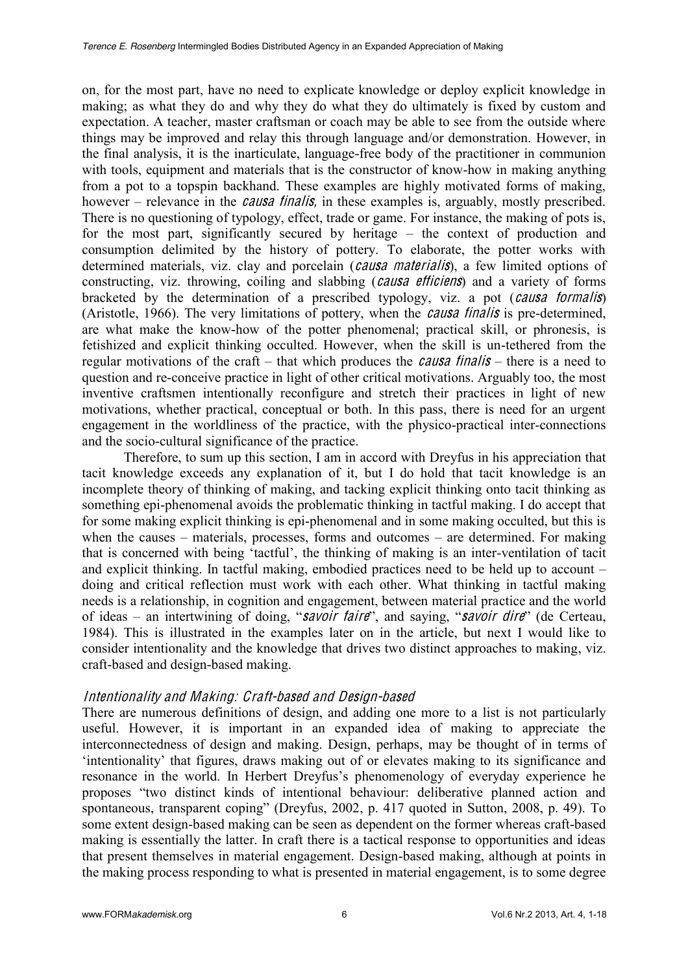on, for the most part, have no need to explicate knowledge or deploy explicit knowledge in making; as what they do and why they do what they do ultimately is fixed by custom and expectation. A teacher, master craftsman or coach may be able to see from the outside where things may be improved and relay this through language and/or demonstration. However, in the final analysis, it is the inarticulate, language-free body of the practitioner in communion with tools, equipment and materials that is the constructor of know-how in making anything from a pot to a topspin backhand. These examples are highly motivated forms of making, however – relevance in the *causa finalis*, in these examples is, arguably, mostly prescribed. There is no questioning of typology, effect, trade or game. For instance, the making of pots is, for the most part, significantly secured by heritage  $-$  the context of production and consumption delimited by the history of pottery. To elaborate, the potter works with determined materials, viz. clay and porcelain (causa materialis), a few limited options of constructing, viz. throwing, coiling and slabbing (*causa efficiens*) and a variety of forms bracketed by the determination of a prescribed typology, viz. a pot (<sup>c</sup>aus<sup>a</sup> formalis) (Aristotle, 1966). The very limitations of pottery, when the <sup>c</sup>aus<sup>a</sup> finali<sup>s</sup> is pre-determined, are what make the know-how of the potter phenomenal; practical skill, or phronesis, is fetishized and explicit thinking occulted. However, when the skill is un-tethered from the regular motivations of the craft  $-$  that which produces the *causa finalis*  $-$  there is a need to question and re-conceive practice in light of other critical motivations. Arguably too, the most inventive craftsmen intentionally reconfigure and stretch their practices in light of new motivations, whether practical, conceptual or both. In this pass, there is need for an urgent engagement in the worldliness of the practice, with the physico-practical inter-connections and the socio-cultural significance of the practice.

Therefore, to sum up this section, I am in accord with Dreyfus in his appreciation that tacit knowledge exceeds any explanation of it, but I do hold that tacit knowledge is an incomplete theory of thinking of making, and tacking explicit thinking onto tacit thinking as something epi-phenomenal avoids the problematic thinking in tactful making. I do accept that for some making explicit thinking is epi-phenomenal and in some making occulted, but this is when the causes  $-$  materials, processes, forms and outcomes  $-$  are determined. For making that is concerned with being 'tactful', the thinking of making is an inter-ventilation of tacit and explicit thinking. In tactful making, embodied practices need to be held up to account  $-\frac{1}{2}$ doing and critical reflection must work with each other. What thinking in tactful making needs is a relationship, in cognition and engagement, between material practice and the world of ideas  $-$  an intertwining of doing, "savoir faire", and saying, "savoir dire" (de Certeau, 1984). This is illustrated in the examples later on in the article, but next I would like to consider intentionality and the knowledge that drives two distinct approaches to making, viz. craft-based and design-based making.

# Intentionality and Making: Craft-based and De<sup>s</sup>ign-ba<sup>s</sup>ed

There are numerous definitions of design, and adding one more to a list is not particularly useful. However, it is important in an expanded idea of making to appreciate the interconnectedness of design and making. Design, perhaps, may be thought of in terms of 'intentionality' that figures, draws making out of or elevates making to its significance and resonance in the world. In Herbert Dreyfus's phenomenology of everyday experience he proposes "two distinct kinds of intentional behaviour: deliberative planned action and spontaneous, transparent coping" (Dreyfus, 2002, p. 417 quoted in Sutton, 2008, p. 49). To some extent design-based making can be seen as dependent on the former whereas craft-based making is essentially the latter. In craft there is a tactical response to opportunities and ideas that present themselves in material engagement. Design-based making, although at points in the making process responding to what is presented in material engagement, is to some degree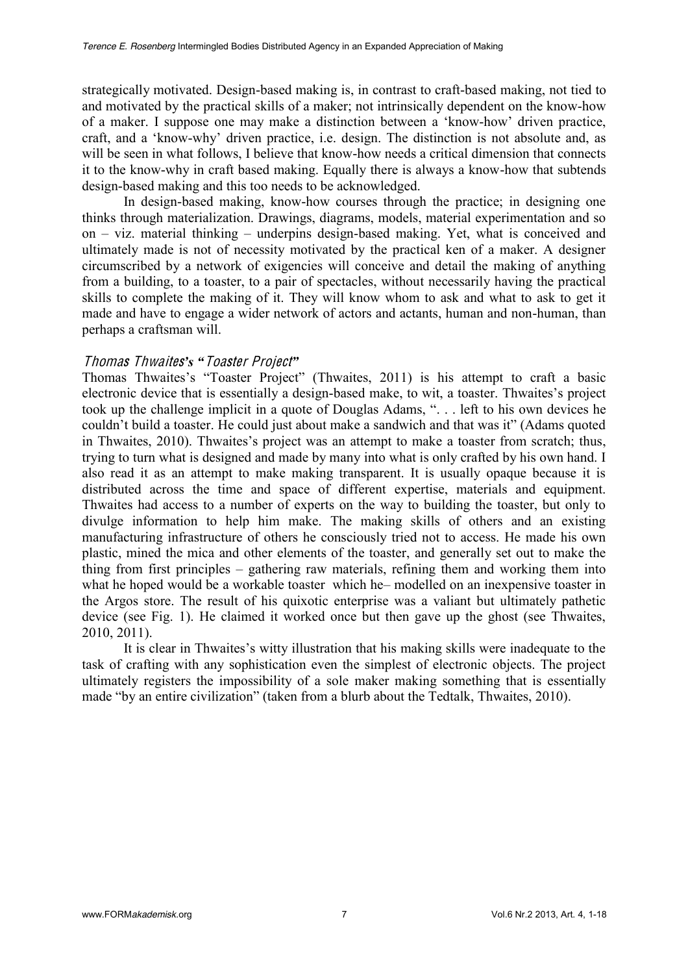strategically motivated. Design-based making is, in contrast to craft-based making, not tied to and motivated by the practical skills of a maker; not intrinsically dependent on the know-how of a maker. I suppose one may make a distinction between a 'know-how' driven practice, craft, and a 'know-why' driven practice, i.e. design. The distinction is not absolute and, as will be seen in what follows, I believe that know-how needs a critical dimension that connects it to the know-why in craft based making. Equally there is always a know-how that subtends design-based making and this too needs to be acknowledged.

In design-based making, know-how courses through the practice; in designing one thinks through materialization. Drawings, diagrams, models, material experimentation and so on  $-$  viz. material thinking  $-$  underpins design-based making. Yet, what is conceived and ultimately made is not of necessity motivated by the practical ken of a maker. A designer circumscribed by a network of exigencies will conceive and detail the making of anything from a building, to a toaster, to a pair of spectacles, without necessarily having the practical skills to complete the making of it. They will know whom to ask and what to ask to get it made and have to engage a wider network of actors and actants, human and non-human, than perhaps a craftsman will.

### Thomas Thwaites's "Toaster Project"

Thomas Thwaites's "Toaster Project" (Thwaites, 2011) is his attempt to craft a basic electronic device that is essentially a design-based make, to wit, a toaster. Thwaites's project took up the challenge implicit in a quote of Douglas Adams, ". . . left to his own devices he couldn't build a toaster. He could just about make a sandwich and that was it" (Adams quoted in Thwaites, 2010). Thwaites's project was an attempt to make a toaster from scratch; thus, trying to turn what is designed and made by many into what is only crafted by his own hand. I also read it as an attempt to make making transparent. It is usually opaque because it is distributed across the time and space of different expertise, materials and equipment. Thwaites had access to a number of experts on the way to building the toaster, but only to divulge information to help him make. The making skills of others and an existing manufacturing infrastructure of others he consciously tried not to access. He made his own plastic, mined the mica and other elements of the toaster, and generally set out to make the thing from first principles  $-$  gathering raw materials, refining them and working them into what he hoped would be a workable toaster which he— modelled on an inexpensive toaster in the Argos store. The result of his quixotic enterprise was a valiant but ultimately pathetic device (see Fig. 1). He claimed it worked once but then gave up the ghost (see Thwaites, 2010, 2011).

It is clear in Thwaites's witty illustration that his making skills were inadequate to the task of crafting with any sophistication even the simplest of electronic objects. The project ultimately registers the impossibility of a sole maker making something that is essentially made "by an entire civilization" (taken from a blurb about the Tedtalk, Thwaites, 2010).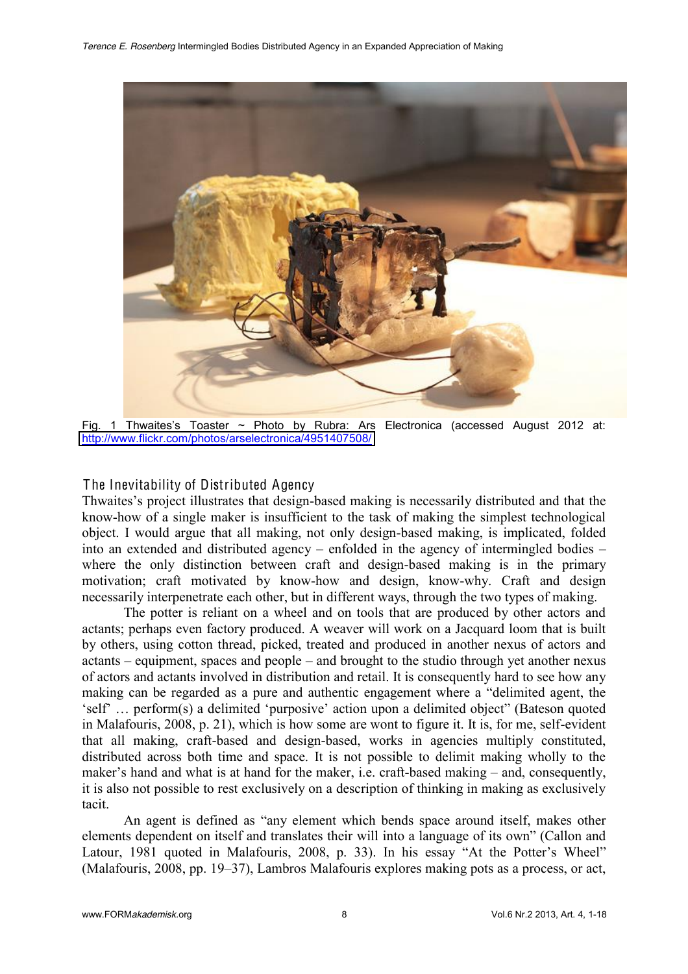

Fig. 1 Thwaites's Toaster  $\sim$  Photo by Rubra: Ars Electronica (accessed August 2012 at: <http://www.flickr.com/photos/arselectronica/4951407508/>

## The Inevitability of Distributed Agency

Thwaites's project illustrates that design-based making is necessarily distributed and that the know-how of a single maker is insufficient to the task of making the simplest technological object. I would argue that all making, not only design-based making, is implicated, folded into an extended and distributed agency  $-$  enfolded in the agency of intermingled bodies  $$ where the only distinction between craft and design-based making is in the primary motivation; craft motivated by know-how and design, know-why. Craft and design necessarily interpenetrate each other, but in different ways, through the two types of making.

The potter is reliant on a wheel and on tools that are produced by other actors and actants; perhaps even factory produced. A weaver will work on a Jacquard loom that is built by others, using cotton thread, picked, treated and produced in another nexus of actors and  $actants - equipment$ , spaces and  $people - and brought to the studio through yet another news$ of actors and actants involved in distribution and retail. It is consequently hard to see how any making can be regarded as a pure and authentic engagement where a "delimited agent, the 'self' ... perform(s) a delimited 'purposive' action upon a delimited object" (Bateson quoted in Malafouris, 2008, p. 21), which is how some are wont to figure it. It is, for me, self-evident that all making, craft-based and design-based, works in agencies multiply constituted, distributed across both time and space. It is not possible to delimit making wholly to the maker's hand and what is at hand for the maker, i.e. craft-based making  $-$  and, consequently, it is also not possible to rest exclusively on a description of thinking in making as exclusively tacit.

An agent is defined as "any element which bends space around itself, makes other elements dependent on itself and translates their will into a language of its own" (Callon and Latour, 1981 quoted in Malafouris, 2008, p. 33). In his essay "At the Potter's Wheel" (Malafouris, 2008, pp.  $19-37$ ), Lambros Malafouris explores making pots as a process, or act,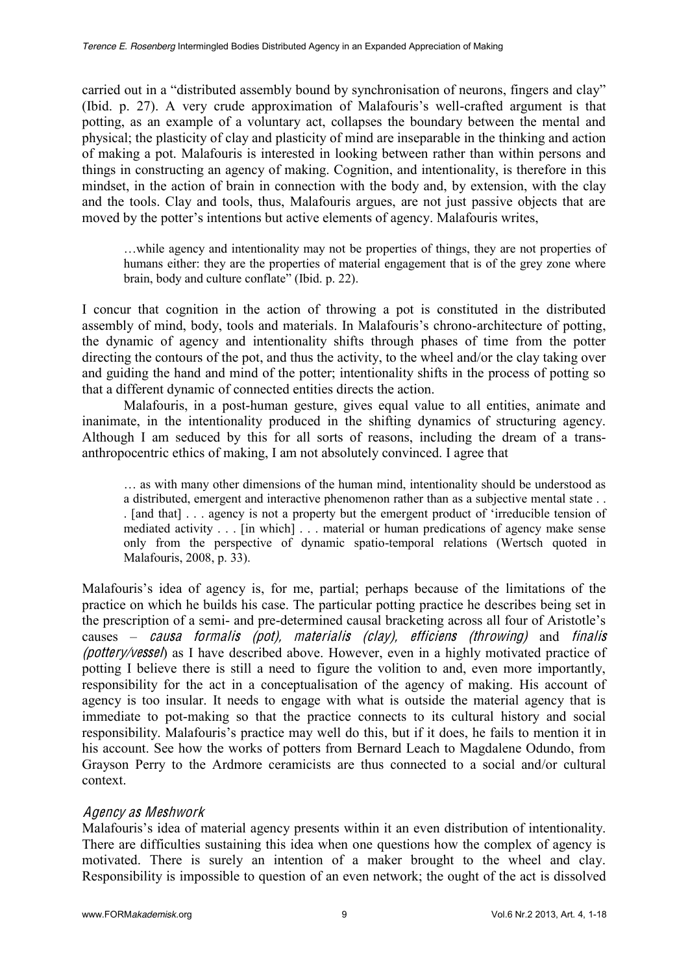carried out in a "distributed assembly bound by synchronisation of neurons, fingers and clay" (Ibid. p. 27). A very crude approximation of Malafouris's well-crafted argument is that potting, as an example of a voluntary act, collapses the boundary between the mental and physical; the plasticity of clay and plasticity of mind are inseparable in the thinking and action of making a pot. Malafouris is interested in looking between rather than within persons and things in constructing an agency of making. Cognition, and intentionality, is therefore in this mindset, in the action of brain in connection with the body and, by extension, with the clay and the tools. Clay and tools, thus, Malafouris argues, are not just passive objects that are moved by the potter's intentions but active elements of agency. Malafouris writes,

...while agency and intentionality may not be properties of things, they are not properties of humans either: they are the properties of material engagement that is of the grey zone where brain, body and culture conflate" (Ibid. p. 22).

I concur that cognition in the action of throwing a pot is constituted in the distributed assembly of mind, body, tools and materials. In Malafouris's chrono-architecture of potting, the dynamic of agency and intentionality shifts through phases of time from the potter directing the contours of the pot, and thus the activity, to the wheel and/or the clay taking over and guiding the hand and mind of the potter; intentionality shifts in the process of potting so that a different dynamic of connected entities directs the action.

Malafouris, in a post-human gesture, gives equal value to all entities, animate and inanimate, in the intentionality produced in the shifting dynamics of structuring agency. Although I am seduced by this for all sorts of reasons, including the dream of a transanthropocentric ethics of making, I am not absolutely convinced. I agree that

 $\ldots$  as with many other dimensions of the human mind, intentionality should be understood as a distributed, emergent and interactive phenomenon rather than as a subjective mental state . .  $\Box$  [and that]  $\Box$  agency is not a property but the emergent product of 'irreducible tension of mediated activity . . . [in which] . . . material or human predications of agency make sense only from the perspective of dynamic spatio-temporal relations (Wertsch quoted in Malafouris, 2008, p. 33).

Malafouris's idea of agency is, for me, partial; perhaps because of the limitations of the practice on which he builds his case. The particular potting practice he describes being set in the prescription of a semi- and pre-determined causal bracketing across all four of Aristotle's causes  $-$  causa formalis (pot), materialis (clay), efficiens (throwing) and finalis (pottery/vessel) as I have described above. However, even in a highly motivated practice of potting I believe there is still a need to figure the volition to and, even more importantly, responsibility for the act in a conceptualisation of the agency of making. His account of agency is too insular. It needs to engage with what is outside the material agency that is immediate to pot-making so that the practice connects to its cultural history and social responsibility. Malafouris's practice may well do this, but if it does, he fails to mention it in his account. See how the works of potters from Bernard Leach to Magdalene Odundo, from Grayson Perry to the Ardmore ceramicists are thus connected to a social and/or cultural context.

# Ag<sup>e</sup>ncy <sup>a</sup><sup>s</sup> Meshwork

Malafouris's idea of material agency presents within it an even distribution of intentionality. There are difficulties sustaining this idea when one questions how the complex of agency is motivated. There is surely an intention of a maker brought to the wheel and clay. Responsibility is impossible to question of an even network; the ought of the act is dissolved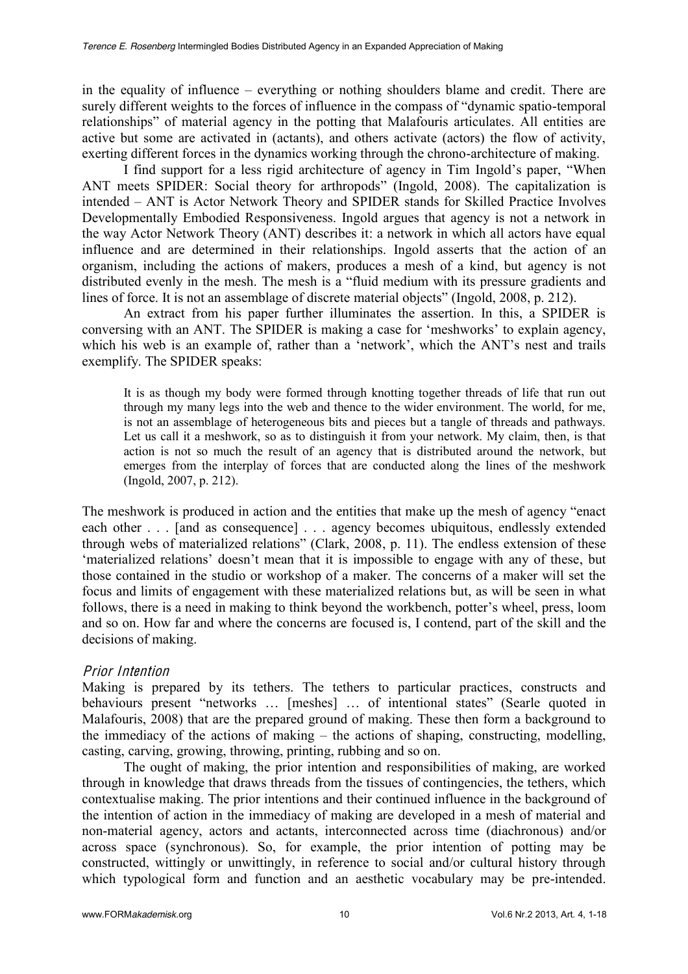in the equality of influence  $-\neq$  everything or nothing shoulders blame and credit. There are surely different weights to the forces of influence in the compass of "dynamic spatio-temporal relationships" of material agency in the potting that Malafouris articulates. All entities are active but some are activated in (actants), and others activate (actors) the flow of activity, exerting different forces in the dynamics working through the chrono-architecture of making.

I find support for a less rigid architecture of agency in Tim Ingold's paper, "When ANT meets SPIDER: Social theory for arthropods" (Ingold, 2008). The capitalization is intended – ANT is Actor Network Theory and SPIDER stands for Skilled Practice Involves Developmentally Embodied Responsiveness. Ingold argues that agency is not a network in the way Actor Network Theory (ANT) describes it: a network in which all actors have equal influence and are determined in their relationships. Ingold asserts that the action of an organism, including the actions of makers, produces a mesh of a kind, but agency is not distributed evenly in the mesh. The mesh is a "fluid medium with its pressure gradients and lines of force. It is not an assemblage of discrete material objects" (Ingold, 2008, p. 212).

An extract from his paper further illuminates the assertion. In this, a SPIDER is conversing with an ANT. The SPIDER is making a case for 'meshworks' to explain agency, which his web is an example of, rather than a 'network', which the ANT's nest and trails exemplify. The SPIDER speaks:

It is as though my body were formed through knotting together threads of life that run out through my many legs into the web and thence to the wider environment. The world, for me, is not an assemblage of heterogeneous bits and pieces but a tangle of threads and pathways. Let us call it a meshwork, so as to distinguish it from your network. My claim, then, is that action is not so much the result of an agency that is distributed around the network, but emerges from the interplay of forces that are conducted along the lines of the meshwork (Ingold, 2007, p. 212).

The meshwork is produced in action and the entities that make up the mesh of agency "enact" each other . . . [and as consequence] . . . agency becomes ubiquitous, endlessly extended through webs of materialized relations" (Clark, 2008, p. 11). The endless extension of these 'materialized relations' doesn't mean that it is impossible to engage with any of these, but those contained in the studio or workshop of a maker. The concerns of a maker will set the focus and limits of engagement with these materialized relations but, as will be seen in what follows, there is a need in making to think beyond the workbench, potter's wheel, press, loom and so on. How far and where the concerns are focused is, I contend, part of the skill and the decisions of making.

# Prior Intention

Making is prepared by its tethers. The tethers to particular practices, constructs and behaviours present "networks ... [meshes] ... of intentional states" (Searle quoted in Malafouris, 2008) that are the prepared ground of making. These then form a background to the immediacy of the actions of making  $-$  the actions of shaping, constructing, modelling, casting, carving, growing, throwing, printing, rubbing and so on.

The ought of making, the prior intention and responsibilities of making, are worked through in knowledge that draws threads from the tissues of contingencies, the tethers, which contextualise making. The prior intentions and their continued influence in the background of the intention of action in the immediacy of making are developed in a mesh of material and non-material agency, actors and actants, interconnected across time (diachronous) and/or across space (synchronous). So, for example, the prior intention of potting may be constructed, wittingly or unwittingly, in reference to social and/or cultural history through which typological form and function and an aesthetic vocabulary may be pre-intended.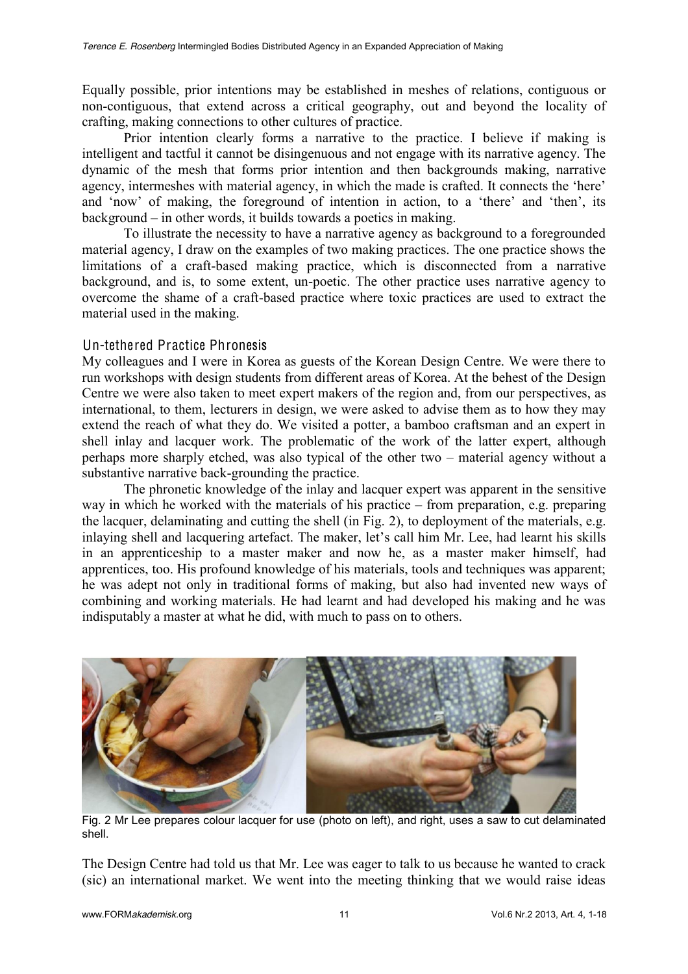Equally possible, prior intentions may be established in meshes of relations, contiguous or non-contiguous, that extend across a critical geography, out and beyond the locality of crafting, making connections to other cultures of practice.

Prior intention clearly forms a narrative to the practice. I believe if making is intelligent and tactful it cannot be disingenuous and not engage with its narrative agency. The dynamic of the mesh that forms prior intention and then backgrounds making, narrative agency, intermeshes with material agency, in which the made is crafted. It connects the 'here' and 'now' of making, the foreground of intention in action, to a 'there' and 'then', its  $background - in other words, it builds towards a poetics in making.$ 

To illustrate the necessity to have a narrative agency as background to a foregrounded material agency, I draw on the examples of two making practices. The one practice shows the limitations of a craft-based making practice, which is disconnected from a narrative background, and is, to some extent, un-poetic. The other practice uses narrative agency to overcome the shame of a craft-based practice where toxic practices are used to extract the material used in the making.

### Un-tethered Practice Phronesis

My colleagues and I were in Korea as guests of the Korean Design Centre. We were there to run workshops with design students from different areas of Korea. At the behest of the Design Centre we were also taken to meet expert makers of the region and, from our perspectives, as international, to them, lecturers in design, we were asked to advise them as to how they may extend the reach of what they do. We visited a potter, a bamboo craftsman and an expert in shell inlay and lacquer work. The problematic of the work of the latter expert, although perhaps more sharply etched, was also typical of the other two  $-$  material agency without a substantive narrative back-grounding the practice.

The phronetic knowledge of the inlay and lacquer expert was apparent in the sensitive way in which he worked with the materials of his practice  $-$  from preparation, e.g. preparing the lacquer, delaminating and cutting the shell (in Fig. 2), to deployment of the materials, e.g. inlaying shell and lacquering artefact. The maker, let's call him Mr. Lee, had learnt his skills in an apprenticeship to a master maker and now he, as a master maker himself, had apprentices, too. His profound knowledge of his materials, tools and techniques was apparent; he was adept not only in traditional forms of making, but also had invented new ways of combining and working materials. He had learnt and had developed his making and he was indisputably a master at what he did, with much to pass on to others.



Fig. 2 Mr Lee prepares colour lacquer for use (photo on left), and right, uses a saw to cut delaminated shell.

The Design Centre had told us that Mr. Lee was eager to talk to us because he wanted to crack (sic) an international market. We went into the meeting thinking that we would raise ideas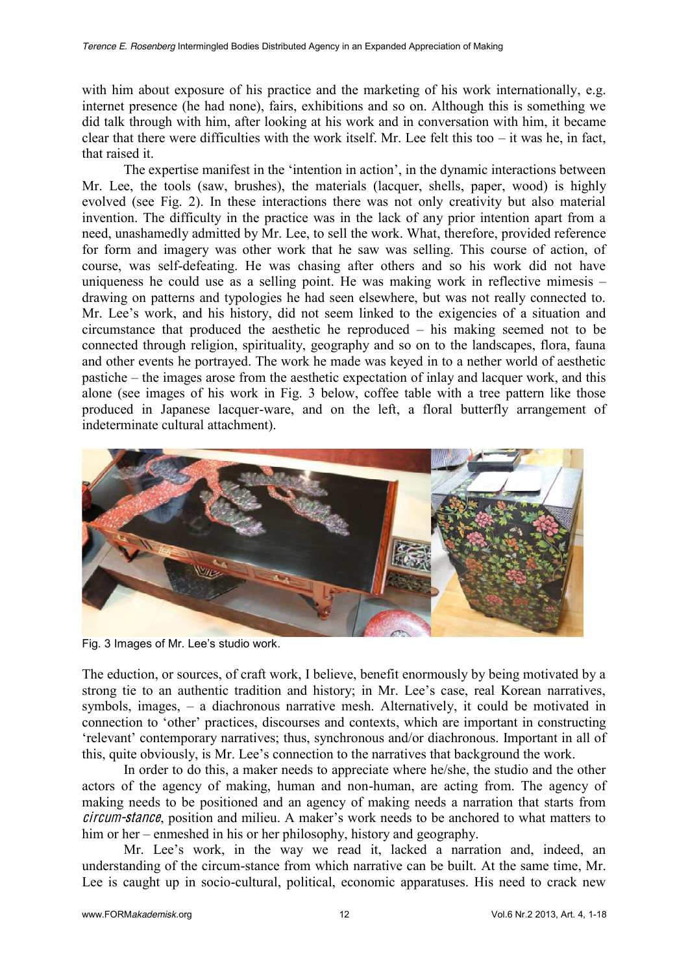with him about exposure of his practice and the marketing of his work internationally, e.g. internet presence (he had none), fairs, exhibitions and so on. Although this is something we did talk through with him, after looking at his work and in conversation with him, it became clear that there were difficulties with the work itself. Mr. Lee felt this too  $-$  it was he, in fact, that raised it.

The expertise manifest in the 'intention in action', in the dynamic interactions between Mr. Lee, the tools (saw, brushes), the materials (lacquer, shells, paper, wood) is highly evolved (see Fig. 2). In these interactions there was not only creativity but also material invention. The difficulty in the practice was in the lack of any prior intention apart from a need, unashamedly admitted by Mr. Lee, to sell the work. What, therefore, provided reference for form and imagery was other work that he saw was selling. This course of action, of course, was self-defeating. He was chasing after others and so his work did not have uniqueness he could use as a selling point. He was making work in reflective mimesis  $$ drawing on patterns and typologies he had seen elsewhere, but was not really connected to. Mr. Lee's work, and his history, did not seem linked to the exigencies of a situation and circumstance that produced the aesthetic he reproduced  $-$  his making seemed not to be connected through religion, spirituality, geography and so on to the landscapes, flora, fauna and other events he portrayed. The work he made was keyed in to a nether world of aesthetic pastiche – the images arose from the aesthetic expectation of inlay and lacquer work, and this alone (see images of his work in Fig. 3 below, coffee table with a tree pattern like those produced in Japanese lacquer-ware, and on the left, a floral butterfly arrangement of indeterminate cultural attachment).



Fig. 3 Images of Mr. Lee's studio work.

The eduction, or sources, of craft work, I believe, benefit enormously by being motivated by a strong tie to an authentic tradition and history; in Mr. Lee's case, real Korean narratives, symbols, images,  $-\alpha$  diachronous narrative mesh. Alternatively, it could be motivated in connection to 'other' practices, discourses and contexts, which are important in constructing 'relevant' contemporary narratives; thus, synchronous and/or diachronous. Important in all of this, quite obviously, is Mr. Lee's connection to the narratives that background the work.

In order to do this, a maker needs to appreciate where he/she, the studio and the other actors of the agency of making, human and non-human, are acting from. The agency of making needs to be positioned and an agency of making needs a narration that starts from circum-stance, position and milieu. A maker's work needs to be anchored to what matters to him or her – enmeshed in his or her philosophy, history and geography.

Mr. Lee's work, in the way we read it, lacked a narration and, indeed, an understanding of the circum-stance from which narrative can be built. At the same time, Mr. Lee is caught up in socio-cultural, political, economic apparatuses. His need to crack new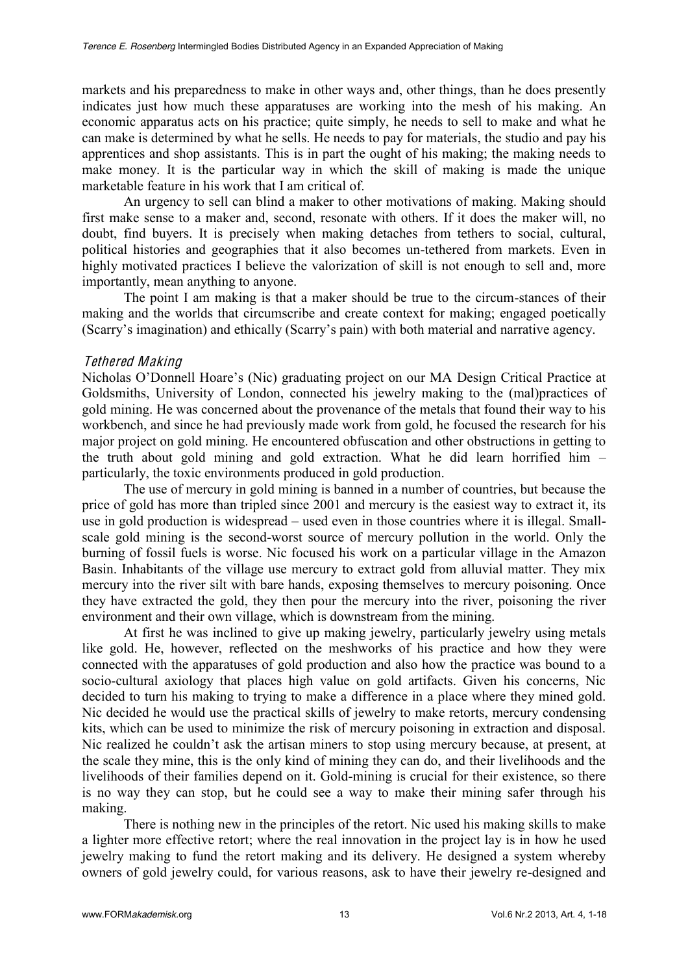markets and his preparedness to make in other ways and, other things, than he does presently indicates just how much these apparatuses are working into the mesh of his making. An economic apparatus acts on his practice; quite simply, he needs to sell to make and what he can make is determined by what he sells. He needs to pay for materials, the studio and pay his apprentices and shop assistants. This is in part the ought of his making; the making needs to make money. It is the particular way in which the skill of making is made the unique marketable feature in his work that I am critical of.

An urgency to sell can blind a maker to other motivations of making. Making should first make sense to a maker and, second, resonate with others. If it does the maker will, no doubt, find buyers. It is precisely when making detaches from tethers to social, cultural, political histories and geographies that it also becomes un-tethered from markets. Even in highly motivated practices I believe the valorization of skill is not enough to sell and, more importantly, mean anything to anyone.

The point I am making is that a maker should be true to the circum-stances of their making and the worlds that circumscribe and create context for making; engaged poetically (Scarry's imagination) and ethically (Scarry's pain) with both material and narrative agency.

#### Tethered Making

Nicholas O'Donnell Hoare's (Nic) graduating project on our MA Design Critical Practice at Goldsmiths, University of London, connected his jewelry making to the (mal)practices of gold mining. He was concerned about the provenance of the metals that found their way to his workbench, and since he had previously made work from gold, he focused the research for his major project on gold mining. He encountered obfuscation and other obstructions in getting to the truth about gold mining and gold extraction. What he did learn horrified him  $$ particularly, the toxic environments produced in gold production.

The use of mercury in gold mining is banned in a number of countries, but because the price of gold has more than tripled since 2001 and mercury is the easiest way to extract it, its use in gold production is widespread – used even in those countries where it is illegal. Smallscale gold mining is the second-worst source of mercury pollution in the world. Only the burning of fossil fuels is worse. Nic focused his work on a particular village in the Amazon Basin. Inhabitants of the village use mercury to extract gold from alluvial matter. They mix mercury into the river silt with bare hands, exposing themselves to mercury poisoning. Once they have extracted the gold, they then pour the mercury into the river, poisoning the river environment and their own village, which is downstream from the mining.

At first he was inclined to give up making jewelry, particularly jewelry using metals like gold. He, however, reflected on the meshworks of his practice and how they were connected with the apparatuses of gold production and also how the practice was bound to a socio-cultural axiology that places high value on gold artifacts. Given his concerns, Nic decided to turn his making to trying to make a difference in a place where they mined gold. Nic decided he would use the practical skills of jewelry to make retorts, mercury condensing kits, which can be used to minimize the risk of mercury poisoning in extraction and disposal. Nic realized he couldn't ask the artisan miners to stop using mercury because, at present, at the scale they mine, this is the only kind of mining they can do, and their livelihoods and the livelihoods of their families depend on it. Gold-mining is crucial for their existence, so there is no way they can stop, but he could see a way to make their mining safer through his making.

There is nothing new in the principles of the retort. Nic used his making skills to make a lighter more effective retort; where the real innovation in the project lay is in how he used jewelry making to fund the retort making and its delivery. He designed a system whereby owners of gold jewelry could, for various reasons, ask to have their jewelry re-designed and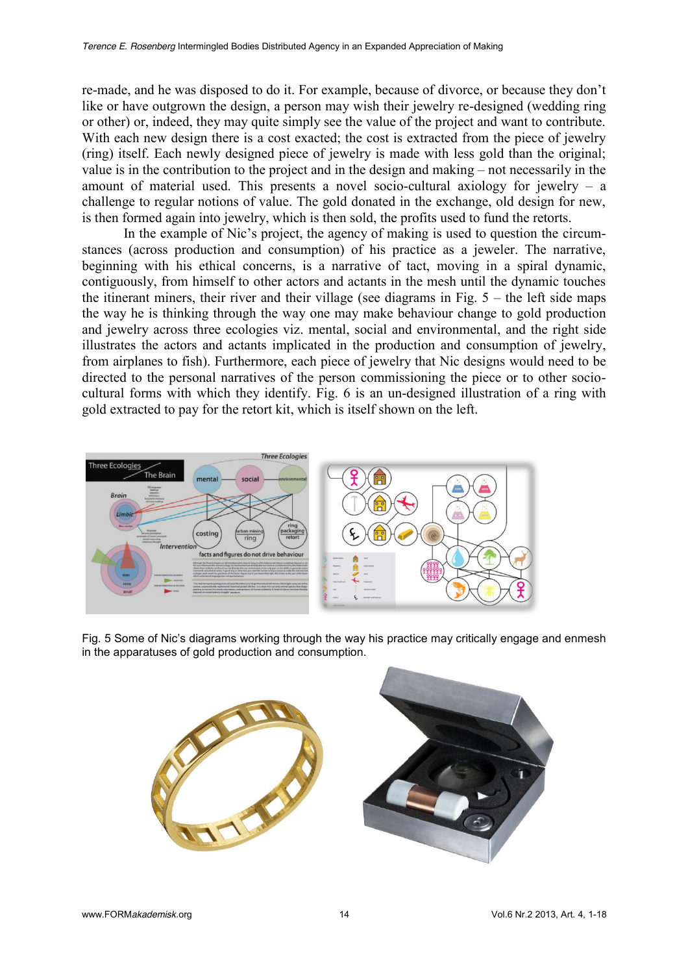re-made, and he was disposed to do it. For example, because of divorce, or because they don't like or have outgrown the design, a person may wish their jewelry re-designed (wedding ring or other) or, indeed, they may quite simply see the value of the project and want to contribute. With each new design there is a cost exacted; the cost is extracted from the piece of jewelry (ring) itself. Each newly designed piece of jewelry is made with less gold than the original; value is in the contribution to the project and in the design and making  $-$  not necessarily in the amount of material used. This presents a novel socio-cultural axiology for jewelry  $-$  a challenge to regular notions of value. The gold donated in the exchange, old design for new, is then formed again into jewelry, which is then sold, the profits used to fund the retorts.

In the example of Nic's project, the agency of making is used to question the circumstances (across production and consumption) of his practice as a jeweler. The narrative, beginning with his ethical concerns, is a narrative of tact, moving in a spiral dynamic, contiguously, from himself to other actors and actants in the mesh until the dynamic touches the itinerant miners, their river and their village (see diagrams in Fig.  $5 -$  the left side maps the way he is thinking through the way one may make behaviour change to gold production and jewelry across three ecologies viz. mental, social and environmental, and the right side illustrates the actors and actants implicated in the production and consumption of jewelry, from airplanes to fish). Furthermore, each piece of jewelry that Nic designs would need to be directed to the personal narratives of the person commissioning the piece or to other sociocultural forms with which they identify. Fig. 6 is an un-designed illustration of a ring with gold extracted to pay for the retort kit, which is itself shown on the left.



Fig. 5 Some of Nic's diagrams working through the way his practice may critically engage and enmesh in the apparatuses of gold production and consumption.

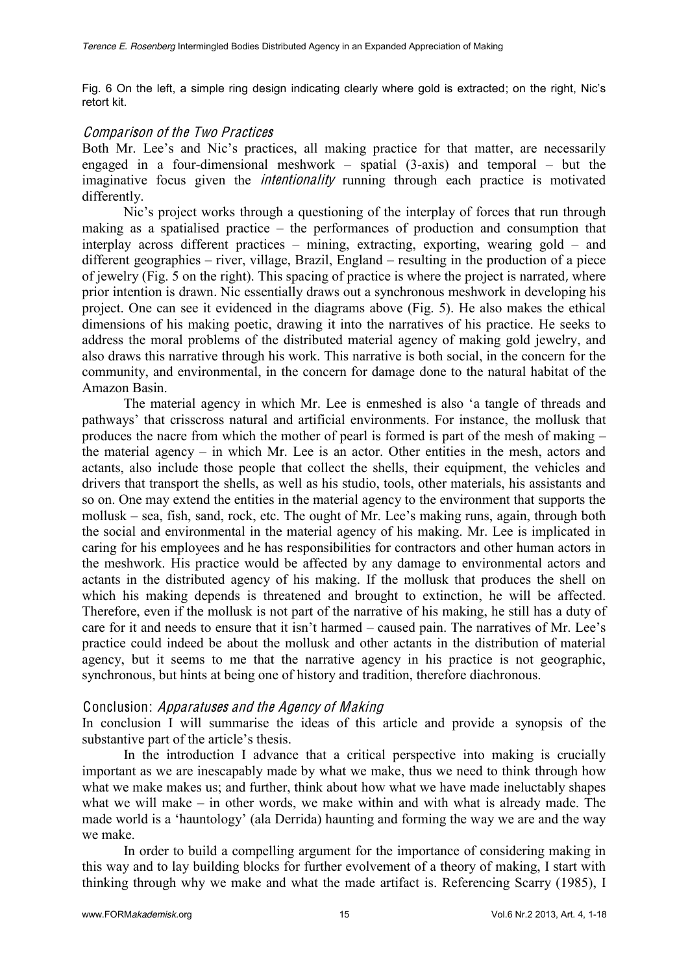Fig. 6 On the left, a simple ring design indicating clearly where gold is extracted; on the right, Nic's retort kit.

#### Compari<sup>s</sup>on of th<sup>e</sup> Two Practice<sup>s</sup>

Both Mr. Lee's and Nic's practices, all making practice for that matter, are necessarily engaged in a four-dimensional meshwork  $-\frac{1}{2}$  spatial (3-axis) and temporal  $-\frac{1}{2}$  but the imaginative focus given the intentionality running through each practice is motivated differently.

Nic's project works through a questioning of the interplay of forces that run through making as a spatialised practice  $-$  the performances of production and consumption that interplay across different practices  $-$  mining, extracting, exporting, wearing gold  $-$  and  $d$  different geographies  $-$  river, village, Brazil, England  $-$  resulting in the production of a piece of jewelry (Fig. 5 on the right). This spacing of practice is where the project is narrated, where prior intention is drawn. Nic essentially draws out a synchronous meshwork in developing his project. One can see it evidenced in the diagrams above (Fig. 5). He also makes the ethical dimensions of his making poetic, drawing it into the narratives of his practice. He seeks to address the moral problems of the distributed material agency of making gold jewelry, and also draws this narrative through his work. This narrative is both social, in the concern for the community, and environmental, in the concern for damage done to the natural habitat of the Amazon Basin.

The material agency in which Mr. Lee is enmeshed is also 'a tangle of threads and pathways' that crisscross natural and artificial environments. For instance, the mollusk that produces the nacre from which the mother of pearl is formed is part of the mesh of making  $$ the material agency  $-$  in which Mr. Lee is an actor. Other entities in the mesh, actors and actants, also include those people that collect the shells, their equipment, the vehicles and drivers that transport the shells, as well as his studio, tools, other materials, his assistants and so on. One may extend the entities in the material agency to the environment that supports the mollusk  $-$  sea, fish, sand, rock, etc. The ought of Mr. Lee's making runs, again, through both the social and environmental in the material agency of his making. Mr. Lee is implicated in caring for his employees and he has responsibilities for contractors and other human actors in the meshwork. His practice would be affected by any damage to environmental actors and actants in the distributed agency of his making. If the mollusk that produces the shell on which his making depends is threatened and brought to extinction, he will be affected. Therefore, even if the mollusk is not part of the narrative of his making, he still has a duty of care for it and needs to ensure that it isn't harmed  $-$  caused pain. The narratives of Mr. Lee's practice could indeed be about the mollusk and other actants in the distribution of material agency, but it seems to me that the narrative agency in his practice is not geographic, synchronous, but hints at being one of history and tradition, therefore diachronous.

#### Conclusion: Apparatuse<sup>s</sup> and <sup>t</sup>h<sup>e</sup> Ag<sup>e</sup>ncy of Making

In conclusion I will summarise the ideas of this article and provide a synopsis of the substantive part of the article's thesis.

In the introduction I advance that a critical perspective into making is crucially important as we are inescapably made by what we make, thus we need to think through how what we make makes us; and further, think about how what we have made ineluctably shapes what we will make  $-$  in other words, we make within and with what is already made. The made world is a 'hauntology' (ala Derrida) haunting and forming the way we are and the way we make.

In order to build a compelling argument for the importance of considering making in this way and to lay building blocks for further evolvement of a theory of making, I start with thinking through why we make and what the made artifact is. Referencing Scarry (1985), I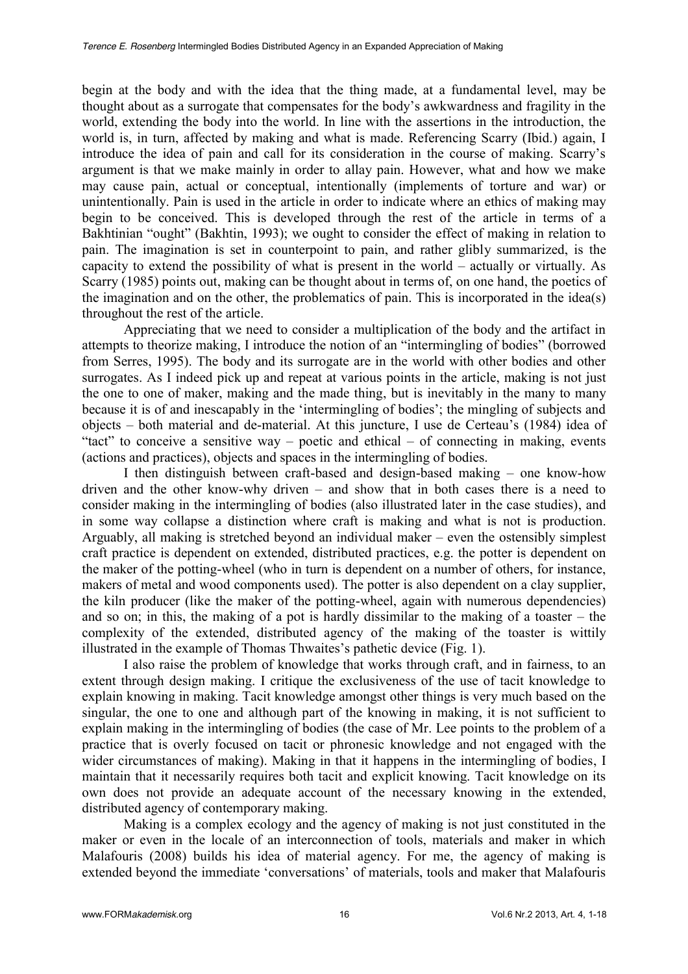begin at the body and with the idea that the thing made, at a fundamental level, may be thought about as a surrogate that compensates for the body's awkwardness and fragility in the world, extending the body into the world. In line with the assertions in the introduction, the world is, in turn, affected by making and what is made. Referencing Scarry (Ibid.) again, I introduce the idea of pain and call for its consideration in the course of making. Scarry's argument is that we make mainly in order to allay pain. However, what and how we make may cause pain, actual or conceptual, intentionally (implements of torture and war) or unintentionally. Pain is used in the article in order to indicate where an ethics of making may begin to be conceived. This is developed through the rest of the article in terms of a Bakhtinian "ought" (Bakhtin, 1993); we ought to consider the effect of making in relation to pain. The imagination is set in counterpoint to pain, and rather glibly summarized, is the capacity to extend the possibility of what is present in the world  $-$  actually or virtually. As Scarry (1985) points out, making can be thought about in terms of, on one hand, the poetics of the imagination and on the other, the problematics of pain. This is incorporated in the idea(s) throughout the rest of the article.

Appreciating that we need to consider a multiplication of the body and the artifact in attempts to theorize making, I introduce the notion of an "intermingling of bodies" (borrowed from Serres, 1995). The body and its surrogate are in the world with other bodies and other surrogates. As I indeed pick up and repeat at various points in the article, making is not just the one to one of maker, making and the made thing, but is inevitably in the many to many because it is of and inescapably in the 'intermingling of bodies'; the mingling of subjects and objects - both material and de-material. At this juncture, I use de Certeau's (1984) idea of "tact" to conceive a sensitive way – poetic and ethical – of connecting in making, events (actions and practices), objects and spaces in the intermingling of bodies.

I then distinguish between craft-based and design-based making  $-$  one know-how driven and the other know-why driven  $-$  and show that in both cases there is a need to consider making in the intermingling of bodies (also illustrated later in the case studies), and in some way collapse a distinction where craft is making and what is not is production. Arguably, all making is stretched beyond an individual maker  $-$  even the ostensibly simplest craft practice is dependent on extended, distributed practices, e.g. the potter is dependent on the maker of the potting-wheel (who in turn is dependent on a number of others, for instance, makers of metal and wood components used). The potter is also dependent on a clay supplier, the kiln producer (like the maker of the potting-wheel, again with numerous dependencies) and so on; in this, the making of a pot is hardly dissimilar to the making of a toaster  $-\text{ the}$ complexity of the extended, distributed agency of the making of the toaster is wittily illustrated in the example of Thomas Thwaites's pathetic device (Fig. 1).

I also raise the problem of knowledge that works through craft, and in fairness, to an extent through design making. I critique the exclusiveness of the use of tacit knowledge to explain knowing in making. Tacit knowledge amongst other things is very much based on the singular, the one to one and although part of the knowing in making, it is not sufficient to explain making in the intermingling of bodies (the case of Mr. Lee points to the problem of a practice that is overly focused on tacit or phronesic knowledge and not engaged with the wider circumstances of making). Making in that it happens in the intermingling of bodies, I maintain that it necessarily requires both tacit and explicit knowing. Tacit knowledge on its own does not provide an adequate account of the necessary knowing in the extended, distributed agency of contemporary making.

Making is a complex ecology and the agency of making is not just constituted in the maker or even in the locale of an interconnection of tools, materials and maker in which Malafouris (2008) builds his idea of material agency. For me, the agency of making is extended beyond the immediate 'conversations' of materials, tools and maker that Malafouris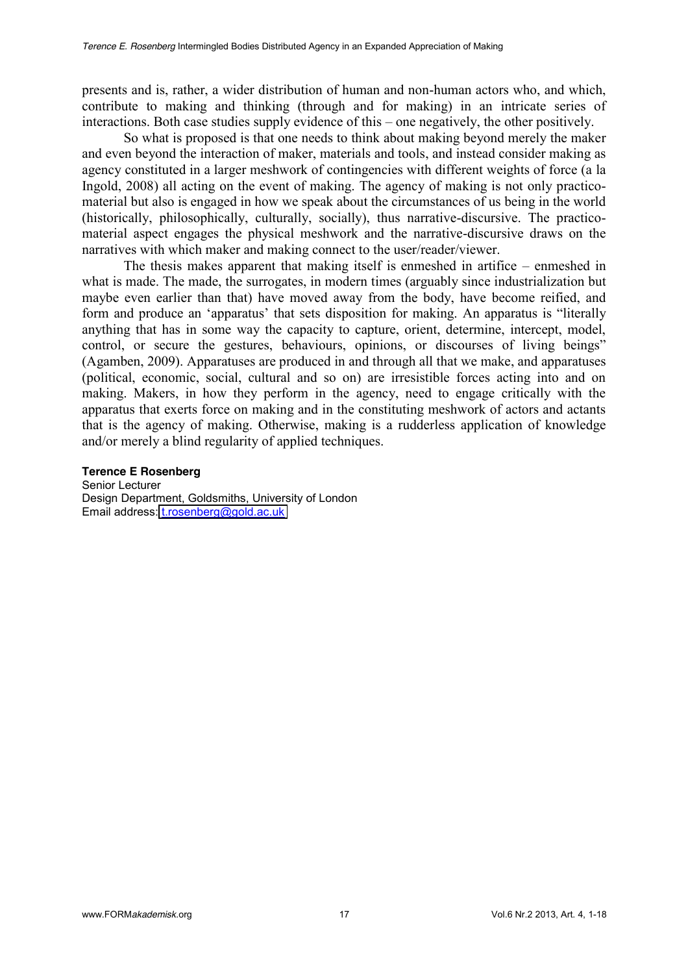presents and is, rather, a wider distribution of human and non-human actors who, and which, contribute to making and thinking (through and for making) in an intricate series of interactions. Both case studies supply evidence of this – one negatively, the other positively.

So what is proposed is that one needs to think about making beyond merely the maker and even beyond the interaction of maker, materials and tools, and instead consider making as agency constituted in a larger meshwork of contingencies with different weights of force (a la Ingold, 2008) all acting on the event of making. The agency of making is not only practicomaterial but also is engaged in how we speak about the circumstances of us being in the world (historically, philosophically, culturally, socially), thus narrative-discursive. The practicomaterial aspect engages the physical meshwork and the narrative-discursive draws on the narratives with which maker and making connect to the user/reader/viewer.

The thesis makes apparent that making itself is enmeshed in artifice  $-\rho$  enmeshed in what is made. The made, the surrogates, in modern times (arguably since industrialization but maybe even earlier than that) have moved away from the body, have become reified, and form and produce an 'apparatus' that sets disposition for making. An apparatus is "literally anything that has in some way the capacity to capture, orient, determine, intercept, model, control, or secure the gestures, behaviours, opinions, or discourses of living beings" (Agamben, 2009). Apparatuses are produced in and through all that we make, and apparatuses (political, economic, social, cultural and so on) are irresistible forces acting into and on making. Makers, in how they perform in the agency, need to engage critically with the apparatus that exerts force on making and in the constituting meshwork of actors and actants that is the agency of making. Otherwise, making is a rudderless application of knowledge and/or merely a blind regularity of applied techniques.

#### **Terence E Rosenberg**

Senior Lecturer Design Department, Goldsmiths, University of London Email address: [t.rosenberg@gold.ac.uk](mailto:t.rosenberg@gold.ac.uk)